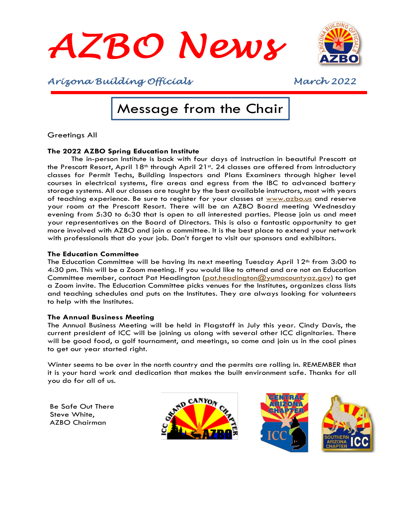



## Message from the Chair

Greetings All

#### **The 2022 AZBO Spring Education Institute**

The in-person Institute is back with four days of instruction in beautiful Prescott at the Prescott Resort, April 18<sup>th</sup> through April 21st. 24 classes are offered from introductory classes for Permit Techs, Building Inspectors and Plans Examiners through higher level courses in electrical systems, fire areas and egress from the IBC to advanced battery storage systems. All our classes are taught by the best available instructors, most with years of teaching experience. Be sure to register for your classes at [www.azbo.us](http://www.azbo.us/) and reserve your room at the Prescott Resort. There will be an AZBO Board meeting Wednesday evening from 5:30 to 6:30 that is open to all interested parties. Please join us and meet your representatives on the Board of Directors. This is also a fantastic opportunity to get more involved with AZBO and join a committee. It is the best place to extend your network with professionals that do your job. Don't forget to visit our sponsors and exhibitors.

#### **The Education Committee**

The Education Committee will be having its next meeting Tuesday April  $12<sup>th</sup>$  from 3:00 to 4:30 pm. This will be a Zoom meeting. If you would like to attend and are not an Education Committee member, contact Pat Headington [\(pat.headington@yumacountyaz.gov\)](mailto:pat.headington@yumacountyaz.gov) to get a Zoom invite. The Education Committee picks venues for the Institutes, organizes class lists and teaching schedules and puts on the Institutes. They are always looking for volunteers to help with the Institutes.

#### **The Annual Business Meeting**

The Annual Business Meeting will be held in Flagstaff in July this year. Cindy Davis, the current president of ICC will be joining us along with several other ICC dignitaries. There will be good food, a golf tournament, and meetings, so come and join us in the cool pines to get our year started right.

Winter seems to be over in the north country and the permits are rolling in. REMEMBER that it is your hard work and dedication that makes the built environment safe. Thanks for all you do for all of us.

Be Safe Out There Steve White, AZBO Chairman





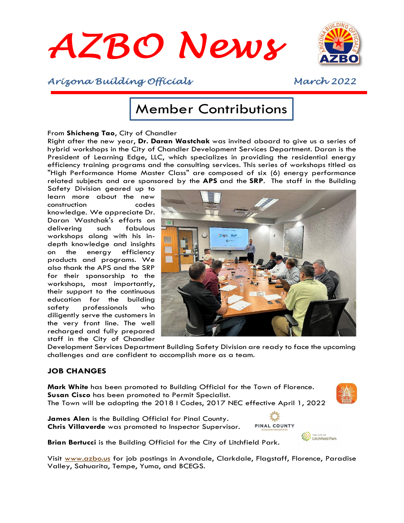



## Member Contributions

#### From **Shicheng Tao**, City of Chandler

Right after the new year, **Dr. Daran Wastchak** was invited aboard to give us a series of hybrid workshops in the City of Chandler Development Services Department. Daran is the President of Learning Edge, LLC, which specializes in providing the residential energy efficiency training programs and the consulting services. This series of workshops titled as "High Performance Home Master Class" are composed of six (6) energy performance related subjects and are sponsored by the **APS** and the **SRP**. The staff in the Building

Safety Division geared up to learn more about the new construction codes knowledge. We appreciate Dr. Daran Wastchak's efforts on delivering such fabulous workshops along with his indepth knowledge and insights on the energy efficiency products and programs. We also thank the APS and the SRP for their sponsorship to the workshops, most importantly, their support to the continuous education for the building safety professionals who diligently serve the customers in the very front line. The well recharged and fully prepared staff in the City of Chandler



Development Services Department Building Safety Division are ready to face the upcoming challenges and are confident to accomplish more as a team.

#### **JOB CHANGES**

**Mark White** has been promoted to Building Official for the Town of Florence. **Susan Cisco** has been promoted to Permit Specialist. The Town will be adopting the 2018 I Codes, 2017 NEC effective April 1, 2022



**James Alen** is the Building Official for Pinal County. **Chris Villaverde** was promoted to Inspector Supervisor.



**Brian Bertucci** is the Building Official for the City of Litchfield Park.

Visit [www.azbo.us](http://www.azbo.us/) for job postings in Avondale, Clarkdale, Flagstaff, Florence, Paradise Valley, Sahuarita, Tempe, Yuma, and BCEGS.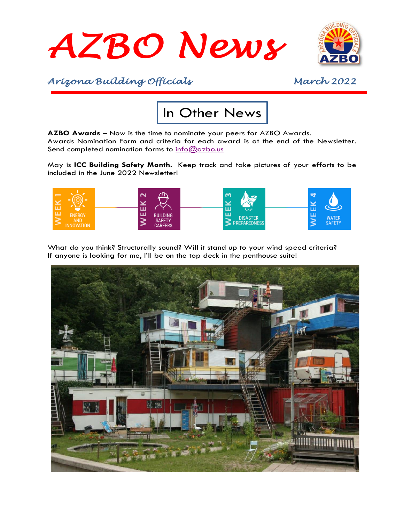



# In Other News

**AZBO Awards** – Now is the time to nominate your peers for AZBO Awards. Awards Nomination Form and criteria for each award is at the end of the Newsletter. Send completed nomination forms to [info@azbo.us](mailto:info@azbo.us)

May is **ICC Building Safety Month**. Keep track and take pictures of your efforts to be included in the June 2022 Newsletter!



What do you think? Structurally sound? Will it stand up to your wind speed criteria? If anyone is looking for me, I'll be on the top deck in the penthouse suite!

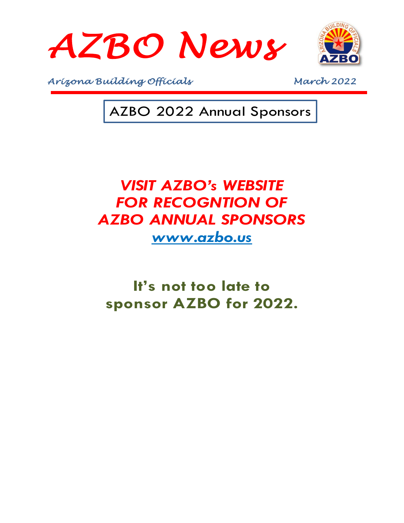



AZBO 2022 Annual Sponsors

# *VISIT AZBO's WEBSITE*  **FOR RECOGNTION OF** *AZBO ANNUAL SPONSORS [www.azbo.us](http://www.azbo.us/)*

**It's not too late to sponsor AZBO for 2022.**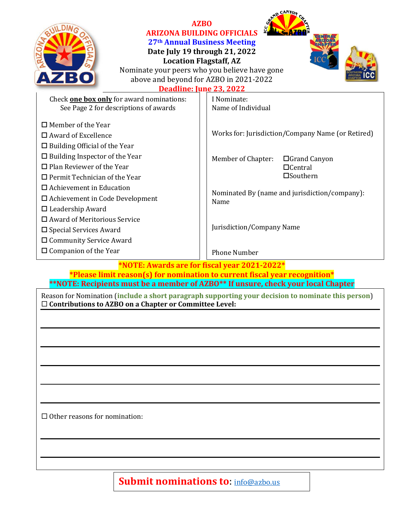

#### **AZBO ARIZONA BUILDING OFFICIALS 27th Annual Business Meeting Date July 19 through 21, 2022**

**Location Flagstaff, AZ**



**D** CANYON

Nominate your peers who you believe have gone above and beyond for AZBO in 2021-2022

**Deadline: June 23, 2022**

| Check <b>one box only</b> for award nominations:                                                                                                                             | I Nominate:                                                                                                      |
|------------------------------------------------------------------------------------------------------------------------------------------------------------------------------|------------------------------------------------------------------------------------------------------------------|
| See Page 2 for descriptions of awards                                                                                                                                        | Name of Individual                                                                                               |
| $\Box$ Member of the Year<br>$\Box$ Award of Excellence<br>$\Box$ Building Official of the Year<br>$\Box$ Building Inspector of the Year<br>$\Box$ Plan Reviewer of the Year | Works for: Jurisdiction/Company Name (or Retired)<br>Member of Chapter:<br>$\Box$ Grand Canyon<br>$\Box$ Central |
| $\Box$ Permit Technician of the Year                                                                                                                                         | $\square$ Southern                                                                                               |
| $\Box$ Achievement in Education                                                                                                                                              |                                                                                                                  |
| $\Box$ Achievement in Code Development                                                                                                                                       | Nominated By (name and jurisdiction/company):<br>Name                                                            |
| $\Box$ Leadership Award                                                                                                                                                      |                                                                                                                  |
| $\Box$ Award of Meritorious Service                                                                                                                                          |                                                                                                                  |
| $\square$ Special Services Award                                                                                                                                             | Jurisdiction/Company Name                                                                                        |
| $\square$ Community Service Award                                                                                                                                            |                                                                                                                  |
| $\Box$ Companion of the Year                                                                                                                                                 | <b>Phone Number</b>                                                                                              |
| $*$ NOTE: Awards are for fiscal vear 2021-2022 $*$                                                                                                                           |                                                                                                                  |

**\*NOTE: Awards are for fiscal year 2021-2022\* \*Please limit reason(s) for nomination to current fiscal year recognition\* \*\*NOTE: Recipients must be a member of AZBO\*\* If unsure, check your local Chapter**

Reason for Nomination (**include a short paragraph supporting your decision to nominate this person**) **Contributions to AZBO on a Chapter or Committee Level:**

 $\Box$  Other reasons for nomination:

**Submit nominations to: [info@azbo.us](mailto:info@azbo.us)**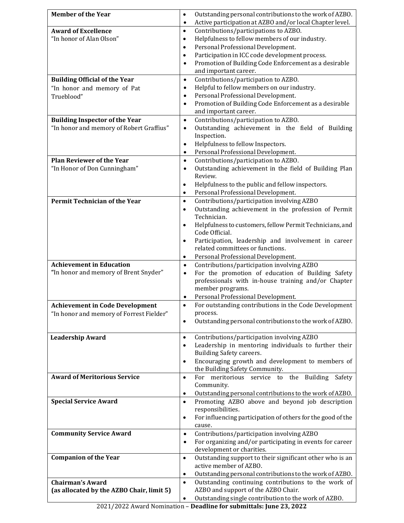| <b>Member of the Year</b>                 | Outstanding personal contributions to the work of AZBO.<br>$\bullet$                                                                 |
|-------------------------------------------|--------------------------------------------------------------------------------------------------------------------------------------|
| <b>Award of Excellence</b>                | Active participation at AZBO and/or local Chapter level.<br>$\bullet$<br>Contributions/participations to AZBO.<br>$\bullet$          |
| "In honor of Alan Olson"                  | Helpfulness to fellow members of our industry.<br>$\bullet$                                                                          |
|                                           | Personal Professional Development.<br>$\bullet$                                                                                      |
|                                           | Participation in ICC code development process.<br>$\bullet$                                                                          |
|                                           | Promotion of Building Code Enforcement as a desirable<br>$\bullet$                                                                   |
|                                           | and important career.                                                                                                                |
| <b>Building Official of the Year</b>      | Contributions/participation to AZBO.<br>$\bullet$                                                                                    |
| "In honor and memory of Pat               | Helpful to fellow members on our industry.<br>$\bullet$                                                                              |
| Trueblood"                                | Personal Professional Development.<br>$\bullet$                                                                                      |
|                                           | Promotion of Building Code Enforcement as a desirable<br>$\bullet$<br>and important career.                                          |
| <b>Building Inspector of the Year</b>     | Contributions/participation to AZBO.<br>$\bullet$                                                                                    |
| "In honor and memory of Robert Graffius"  | Outstanding achievement in the field of Building<br>$\bullet$                                                                        |
|                                           | Inspection.                                                                                                                          |
|                                           | Helpfulness to fellow Inspectors.<br>$\bullet$                                                                                       |
|                                           | Personal Professional Development.<br>$\bullet$                                                                                      |
| <b>Plan Reviewer of the Year</b>          | Contributions/participation to AZBO.<br>$\bullet$                                                                                    |
| "In Honor of Don Cunningham"              | Outstanding achievement in the field of Building Plan<br>$\bullet$                                                                   |
|                                           | Review.                                                                                                                              |
|                                           | Helpfulness to the public and fellow inspectors.<br>٠<br>Personal Professional Development.<br>$\bullet$                             |
| <b>Permit Technician of the Year</b>      | Contributions/participation involving AZBO<br>$\bullet$                                                                              |
|                                           | Outstanding achievement in the profession of Permit<br>$\bullet$                                                                     |
|                                           | Technician.                                                                                                                          |
|                                           | Helpfulness to customers, fellow Permit Technicians, and                                                                             |
|                                           | Code Official.                                                                                                                       |
|                                           | Participation, leadership and involvement in career<br>$\bullet$                                                                     |
|                                           | related committees or functions.                                                                                                     |
| <b>Achievement in Education</b>           | Personal Professional Development.<br>$\bullet$                                                                                      |
| "In honor and memory of Brent Snyder"     | Contributions/participation involving AZBO<br>$\bullet$<br>For the promotion of education of Building Safety<br>$\bullet$            |
|                                           | professionals with in-house training and/or Chapter                                                                                  |
|                                           | member programs.                                                                                                                     |
|                                           | Personal Professional Development.<br>٠                                                                                              |
| Achievement in Code Development           | For outstanding contributions in the Code Development                                                                                |
| "In honor and memory of Forrest Fielder"  | process.                                                                                                                             |
|                                           | Outstanding personal contributions to the work of AZBO.<br>$\bullet$                                                                 |
| <b>Leadership Award</b>                   | Contributions/participation involving AZBO<br>$\bullet$                                                                              |
|                                           | Leadership in mentoring individuals to further their<br>$\bullet$                                                                    |
|                                           | Building Safety careers.                                                                                                             |
|                                           | Encouraging growth and development to members of<br>$\bullet$                                                                        |
|                                           | the Building Safety Community.                                                                                                       |
| <b>Award of Meritorious Service</b>       | For meritorious service to the Building Safety<br>$\bullet$                                                                          |
|                                           | Community.                                                                                                                           |
| <b>Special Service Award</b>              | Outstanding personal contributions to the work of AZBO.<br>$\bullet$<br>Promoting AZBO above and beyond job description<br>$\bullet$ |
|                                           | responsibilities.                                                                                                                    |
|                                           | For influencing participation of others for the good of the<br>٠                                                                     |
|                                           | cause.                                                                                                                               |
| <b>Community Service Award</b>            | Contributions/participation involving AZBO<br>$\bullet$                                                                              |
|                                           | For organizing and/or participating in events for career<br>$\bullet$                                                                |
|                                           | development or charities.                                                                                                            |
| <b>Companion of the Year</b>              | Outstanding support to their significant other who is an<br>$\bullet$                                                                |
|                                           | active member of AZBO.                                                                                                               |
| <b>Chairman's Award</b>                   | Outstanding personal contributions to the work of AZBO.<br>٠<br>Outstanding continuing contributions to the work of<br>$\bullet$     |
| (as allocated by the AZBO Chair, limit 5) | AZBO and support of the AZBO Chair.                                                                                                  |
|                                           | Outstanding single contribution to the work of AZBO.                                                                                 |
|                                           |                                                                                                                                      |

2021/2022 Award Nomination – **Deadline for submittals: June 23, 2022**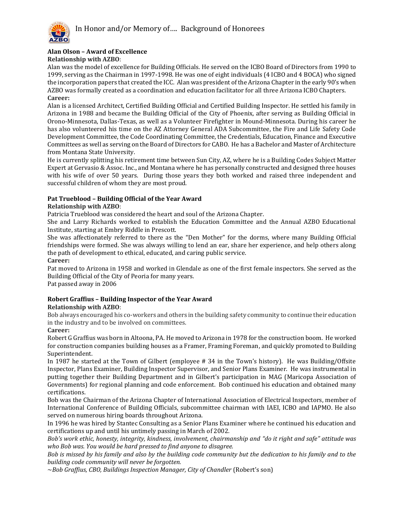

#### **Alan Olson – Award of Excellence**

**Relationship with AZBO**:

Alan was the model of excellence for Building Officials. He served on the ICBO Board of Directors from 1990 to 1999, serving as the Chairman in 1997-1998. He was one of eight individuals (4 ICBO and 4 BOCA) who signed the incorporation papers that created the ICC. Alan was president of the Arizona Chapter in the early 90's when AZBO was formally created as a coordination and education facilitator for all three Arizona ICBO Chapters. **Career:**

Alan is a licensed Architect, Certified Building Official and Certified Building Inspector. He settled his family in Arizona in 1988 and became the Building Official of the City of Phoenix, after serving as Building Official in Orono-Minnesota, Dallas-Texas, as well as a Volunteer Firefighter in Mound-Minnesota. During his career he has also volunteered his time on the AZ Attorney General ADA Subcommittee, the Fire and Life Safety Code Development Committee, the Code Coordinating Committee, the Credentials, Education, Finance and Executive Committees as well as serving on the Board of Directors for CABO. He has a Bachelor and Master of Architecture from Montana State University.

He is currently splitting his retirement time between Sun City, AZ, where he is a Building Codes Subject Matter Expert at Gervasio & Assoc. Inc., and Montana where he has personally constructed and designed three houses with his wife of over 50 years. During those years they both worked and raised three independent and successful children of whom they are most proud.

#### **Pat Trueblood – Building Official of the Year Award**

#### **Relationship with AZBO**:

Patricia Trueblood was considered the heart and soul of the Arizona Chapter.

She and Larry Richards worked to establish the Education Committee and the Annual AZBO Educational Institute, starting at Embry Riddle in Prescott.

She was affectionately referred to there as the "Den Mother" for the dorms, where many Building Official friendships were formed. She was always willing to lend an ear, share her experience, and help others along the path of development to ethical, educated, and caring public service.

**Career:**

Pat moved to Arizona in 1958 and worked in Glendale as one of the first female inspectors. She served as the Building Official of the City of Peoria for many years.

Pat passed away in 2006

#### **Robert Graffius – Building Inspector of the Year Award**

#### **Relationship with AZBO**:

Bob always encouraged his co-workers and others in the building safety community to continue their education in the industry and to be involved on committees.

#### **Career:**

Robert G Graffius was born in Altoona, PA. He moved to Arizona in 1978 for the construction boom. He worked for construction companies building houses as a Framer, Framing Foreman, and quickly promoted to Building Superintendent.

In 1987 he started at the Town of Gilbert (employee # 34 in the Town's history). He was Building/Offsite Inspector, Plans Examiner, Building Inspector Supervisor, and Senior Plans Examiner. He was instrumental in putting together their Building Department and in Gilbert's participation in MAG (Maricopa Association of Governments) for regional planning and code enforcement. Bob continued his education and obtained many certifications.

Bob was the Chairman of the Arizona Chapter of International Association of Electrical Inspectors, member of International Conference of Building Officials, subcommittee chairman with IAEI, ICBO and IAPMO. He also served on numerous hiring boards throughout Arizona.

In 1996 he was hired by Stantec Consulting as a Senior Plans Examiner where he continued his education and certifications up and until his untimely passing in March of 2002.

*Bob's work ethic, honesty, integrity, kindness, involvement, chairmanship and "do it right and safe" attitude was who Bob was. You would be hard pressed to find anyone to disagree.* 

*Bob is missed by his family and also by the building code community but the dedication to his family and to the building code community will never be forgotten.*

~*Bob Graffius, CBO, Buildings Inspection Manager, City of Chandler* (Robert's son)